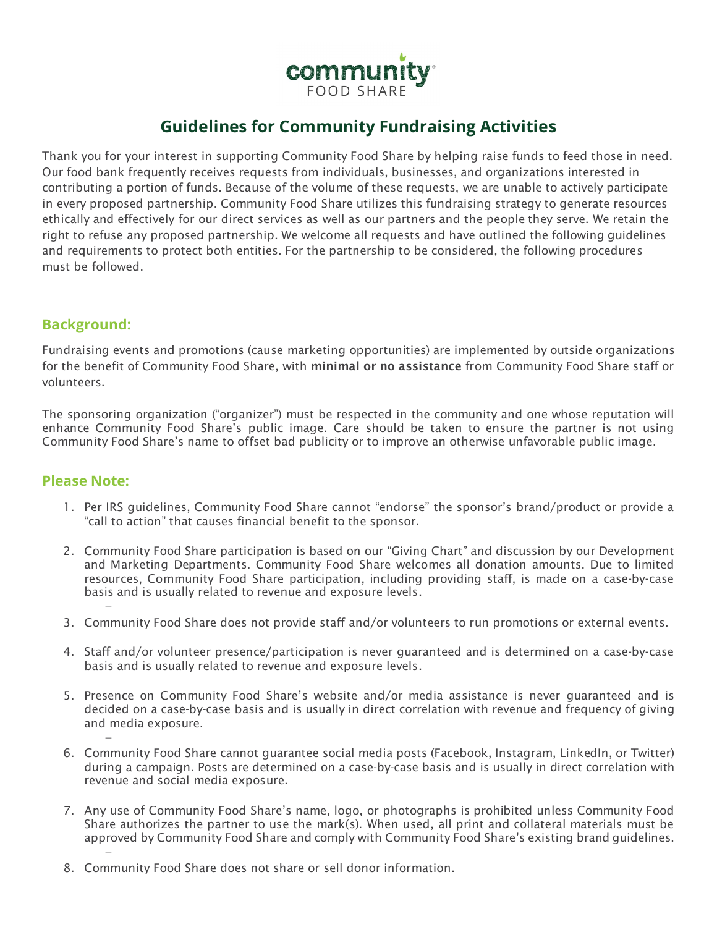

# **Guidelines for Community Fundraising Activities**

Thank you for your interest in supporting Community Food Share by helping raise funds to feed those in need. Our food bank frequently receives requests from individuals, businesses, and organizations interested in contributing a portion of funds. Because of the volume of these requests, we are unable to actively participate in every proposed partnership. Community Food Share utilizes this fundraising strategy to generate resources ethically and effectively for our direct services as well as our partners and the people they serve. We retain the right to refuse any proposed partnership. We welcome all requests and have outlined the following guidelines and requirements to protect both entities. For the partnership to be considered, the following procedures must be followed.

## **Background:**

Fundraising events and promotions (cause marketing opportunities) are implemented by outside organizations for the benefit of Community Food Share, with minimal or no assistance from Community Food Share staff or volunteers.

The sponsoring organization ("organizer") must be respected in the community and one whose reputation will enhance Community Food Share's public image. Care should be taken to ensure the partner is not using Community Food Share's name to offset bad publicity or to improve an otherwise unfavorable public image.

### **Please Note:**

−

−

−

- 1. Per IRS guidelines, Community Food Share cannot "endorse" the sponsor's brand/product or provide a "call to action" that causes financial benefit to the sponsor.
- 2. Community Food Share participation is based on our "Giving Chart" and discussion by our Development and Marketing Departments. Community Food Share welcomes all donation amounts. Due to limited resources, Community Food Share participation, including providing staff, is made on a case-by-case basis and is usually related to revenue and exposure levels.
- 3. Community Food Share does not provide staff and/or volunteers to run promotions or external events.
- 4. Staff and/or volunteer presence/participation is never guaranteed and is determined on a case-by-case basis and is usually related to revenue and exposure levels.
- 5. Presence on Community Food Share's website and/or media assistance is never guaranteed and is decided on a case-by-case basis and is usually in direct correlation with revenue and frequency of giving and media exposure.
- 6. Community Food Share cannot guarantee social media posts (Facebook, Instagram, LinkedIn, or Twitter) during a campaign. Posts are determined on a case-by-case basis and is usually in direct correlation with revenue and social media exposure.
- 7. Any use of Community Food Share's name, logo, or photographs is prohibited unless Community Food Share authorizes the partner to use the mark(s). When used, all print and collateral materials must be approved by Community Food Share and comply with Community Food Share's existing brand guidelines.
- 8. Community Food Share does not share or sell donor information.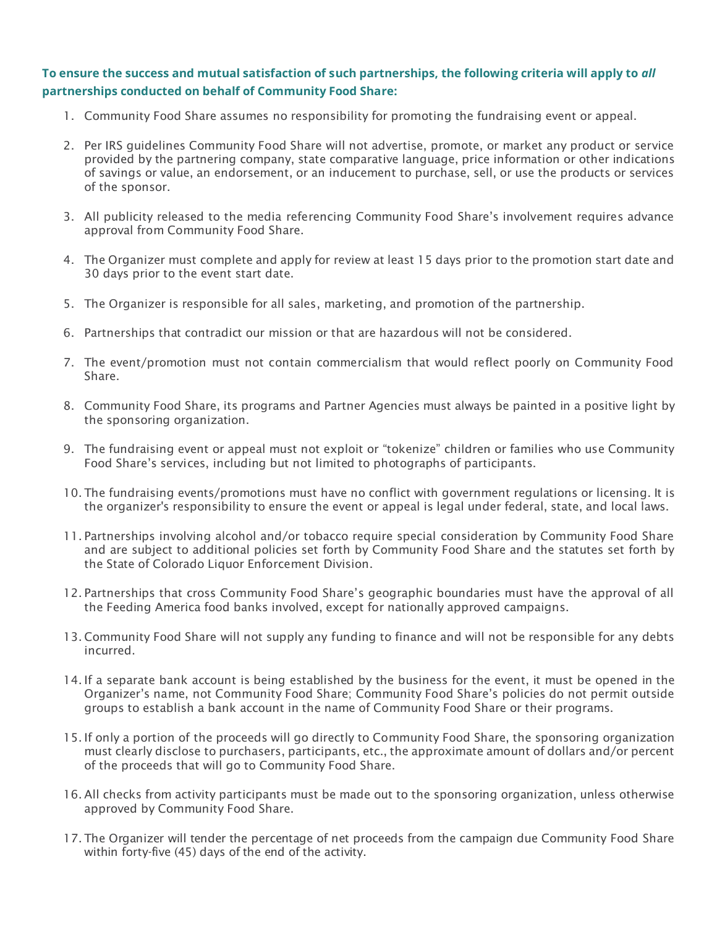#### **To ensure the success and mutual satisfaction of such partnerships, the following criteria will apply to** *all*  **partnerships conducted on behalf of Community Food Share:**

- 1. Community Food Share assumes no responsibility for promoting the fundraising event or appeal.
- 2. Per IRS guidelines Community Food Share will not advertise, promote, or market any product or service provided by the partnering company, state comparative language, price information or other indications of savings or value, an endorsement, or an inducement to purchase, sell, or use the products or services of the sponsor.
- 3. All publicity released to the media referencing Community Food Share's involvement requires advance approval from Community Food Share.
- 4. The Organizer must complete and apply for review at least 15 days prior to the promotion start date and 30 days prior to the event start date.
- 5. The Organizer is responsible for all sales, marketing, and promotion of the partnership.
- 6. Partnerships that contradict our mission or that are hazardous will not be considered.
- 7. The event/promotion must not contain commercialism that would reflect poorly on Community Food Share.
- 8. Community Food Share, its programs and Partner Agencies must always be painted in a positive light by the sponsoring organization.
- 9. The fundraising event or appeal must not exploit or "tokenize" children or families who use Community Food Share's services, including but not limited to photographs of participants.
- 10. The fundraising events/promotions must have no conflict with government regulations or licensing. It is the organizer's responsibility to ensure the event or appeal is legal under federal, state, and local laws.
- 11. Partnerships involving alcohol and/or tobacco require special consideration by Community Food Share and are subject to additional policies set forth by Community Food Share and the statutes set forth by the State of Colorado Liquor Enforcement Division.
- 12. Partnerships that cross Community Food Share's geographic boundaries must have the approval of all the Feeding America food banks involved, except for nationally approved campaigns.
- 13. Community Food Share will not supply any funding to finance and will not be responsible for any debts incurred.
- 14. If a separate bank account is being established by the business for the event, it must be opened in the Organizer's name, not Community Food Share; Community Food Share's policies do not permit outside groups to establish a bank account in the name of Community Food Share or their programs.
- 15. If only a portion of the proceeds will go directly to Community Food Share, the sponsoring organization must clearly disclose to purchasers, participants, etc., the approximate amount of dollars and/or percent of the proceeds that will go to Community Food Share.
- 16. All checks from activity participants must be made out to the sponsoring organization, unless otherwise approved by Community Food Share.
- 17. The Organizer will tender the percentage of net proceeds from the campaign due Community Food Share within forty-five (45) days of the end of the activity.